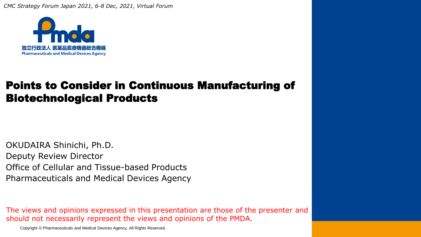*CMC Strategy Forum Japan 2021, 6-8 Dec, 2021, Virtual Forum*



#### Points to Consider in Continuous Manufacturing of Biotechnological Products

OKUDAIRA Shinichi, Ph.D. Deputy Review Director Office of Cellular and Tissue-based Products Pharmaceuticals and Medical Devices Agency

The views and opinions expressed in this presentation are those of the presenter and should not necessarily represent the views and opinions of the PMDA.

Copyright © Pharmaceuticals and Medical Devices Agency, All Rights Reserved.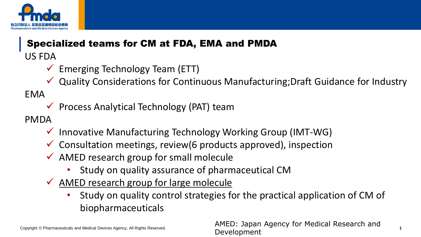

## Specialized teams for CM at FDA, EMA and PMDA US FDA

- $\checkmark$  Emerging Technology Team (ETT)
- ✓ Quality Considerations for Continuous Manufacturing;Draft Guidance for Industry

EMA

 $\checkmark$  Process Analytical Technology (PAT) team

PMDA

- $\checkmark$  Innovative Manufacturing Technology Working Group (IMT-WG)
- $\checkmark$  Consultation meetings, review(6 products approved), inspection
- $\checkmark$  AMED research group for small molecule
	- Study on quality assurance of pharmaceutical CM
- ✓ AMED research group for large molecule
	- Study on quality control strategies for the practical application of CM of biopharmaceuticals

Copyright © Pharmaceuticals and Medical Devices Agency, All Rights Reserved. **1** AMED: Japan Agency for Medical Research and Development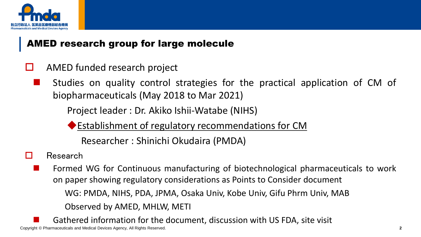

#### AMED research group for large molecule

- $\Box$  AMED funded research project
	- Studies on quality control strategies for the practical application of CM of biopharmaceuticals (May 2018 to Mar 2021)

Project leader : Dr. Akiko Ishii-Watabe (NIHS)

◆Establishment of regulatory recommendations for CM

Researcher : Shinichi Okudaira (PMDA)

- Research
	- ◼ Formed WG for Continuous manufacturing of biotechnological pharmaceuticals to work on paper showing regulatory considerations as Points to Consider document WG: PMDA, NIHS, PDA, JPMA, Osaka Univ, Kobe Univ, Gifu Phrm Univ, MAB Observed by AMED, MHLW, METI
- Copyright © Pharmaceuticals and Medical Devices Agency, All Rights Reserved. **2** Gathered information for the document, discussion with US FDA, site visit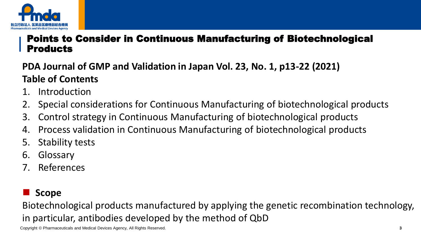

#### Points to Consider in Continuous Manufacturing of Biotechnological **Products**

#### **PDA Journal of GMP and Validation in Japan Vol. 23, No. 1, p13-22 (2021) Table of Contents**

- 1. Introduction
- 2. Special considerations for Continuous Manufacturing of biotechnological products
- 3. Control strategy in Continuous Manufacturing of biotechnological products
- 4. Process validation in Continuous Manufacturing of biotechnological products
- 5. Stability tests
- 6. Glossary
- 7. References

#### ◼ **Scope**

Biotechnological products manufactured by applying the genetic recombination technology, in particular, antibodies developed by the method of QbD

Copyright © Pharmaceuticals and Medical Devices Agency, All Rights Reserved. **3 3**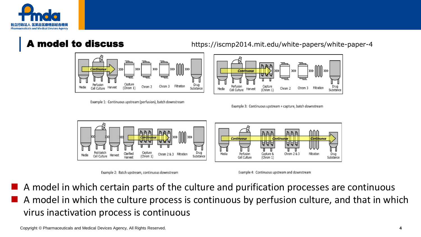



Example 1: Continuous upstream (perfusion), batch downstream

**model to discuss** https://iscmp2014.mit.edu/white-papers/white-paper-4



Example 3: Continuous upstream + capture, batch downstream



Example 2: Batch upstream, continuous downstream

Example 4: Continuous upstream and downstream

◼ A model in which certain parts of the culture and purification processes are continuous A model in which the culture process is continuous by perfusion culture, and that in which virus inactivation process is continuous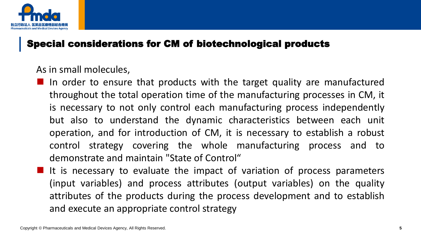

#### As in small molecules,

- In order to ensure that products with the target quality are manufactured throughout the total operation time of the manufacturing processes in CM, it is necessary to not only control each manufacturing process independently but also to understand the dynamic characteristics between each unit operation, and for introduction of CM, it is necessary to establish a robust control strategy covering the whole manufacturing process and to demonstrate and maintain "State of Control"
- $\blacksquare$  It is necessary to evaluate the impact of variation of process parameters (input variables) and process attributes (output variables) on the quality attributes of the products during the process development and to establish and execute an appropriate control strategy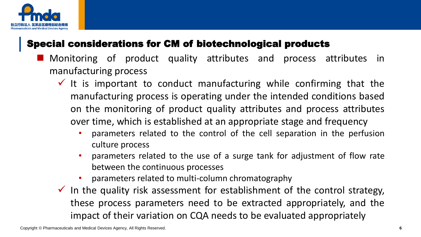

- Monitoring of product quality attributes and process attributes in manufacturing process
	- $\checkmark$  It is important to conduct manufacturing while confirming that the manufacturing process is operating under the intended conditions based on the monitoring of product quality attributes and process attributes over time, which is established at an appropriate stage and frequency
		- parameters related to the control of the cell separation in the perfusion culture process
		- parameters related to the use of a surge tank for adjustment of flow rate between the continuous processes
		- parameters related to multi-column chromatography
	- $\checkmark$  In the quality risk assessment for establishment of the control strategy, these process parameters need to be extracted appropriately, and the impact of their variation on CQA needs to be evaluated appropriately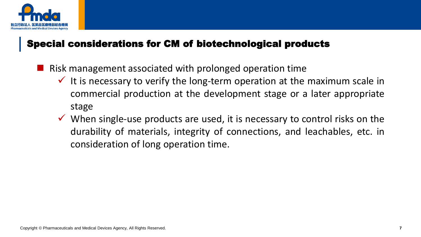

- Risk management associated with prolonged operation time
	- $\checkmark$  It is necessary to verify the long-term operation at the maximum scale in commercial production at the development stage or a later appropriate stage
	- $\checkmark$  When single-use products are used, it is necessary to control risks on the durability of materials, integrity of connections, and leachables, etc. in consideration of long operation time.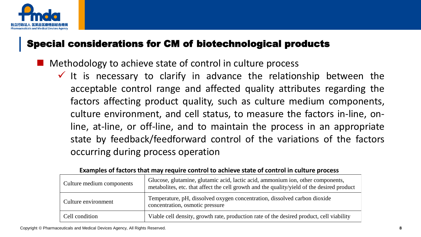

- Methodology to achieve state of control in culture process
	- $\checkmark$  It is necessary to clarify in advance the relationship between the acceptable control range and affected quality attributes regarding the factors affecting product quality, such as culture medium components, culture environment, and cell status, to measure the factors in-line, online, at-line, or off-line, and to maintain the process in an appropriate state by feedback/feedforward control of the variations of the factors occurring during process operation

| Culture medium components | Glucose, glutamine, glutamic acid, lactic acid, ammonium ion, other components,<br>metabolities, etc. that affect the cell growth and the quality/yield of the desired product |
|---------------------------|--------------------------------------------------------------------------------------------------------------------------------------------------------------------------------|
| Culture environment       | Temperature, pH, dissolved oxygen concentration, dissolved carbon dioxide<br>concentration, osmotic pressure                                                                   |
| Cell condition            | Viable cell density, growth rate, production rate of the desired product, cell viability                                                                                       |

#### **Examples of factors that may require control to achieve state of control in culture process**

Copyright © Pharmaceuticals and Medical Devices Agency, All Rights Reserved. **8**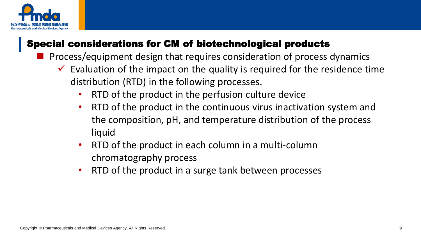

- ◼ Process/equipment design that requires consideration of process dynamics
	- $\checkmark$  Evaluation of the impact on the quality is required for the residence time distribution (RTD) in the following processes.
		- RTD of the product in the perfusion culture device
		- RTD of the product in the continuous virus inactivation system and the composition, pH, and temperature distribution of the process liquid
		- RTD of the product in each column in a multi-column chromatography process
		- RTD of the product in a surge tank between processes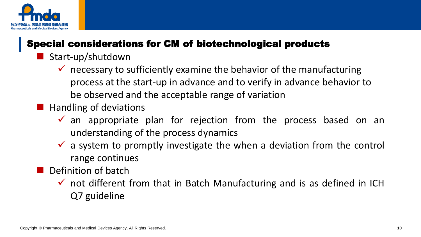

- Start-up/shutdown
	- $\checkmark$  necessary to sufficiently examine the behavior of the manufacturing process at the start-up in advance and to verify in advance behavior to be observed and the acceptable range of variation
- $\blacksquare$  Handling of deviations
	- $\checkmark$  an appropriate plan for rejection from the process based on an understanding of the process dynamics
	- $\checkmark$  a system to promptly investigate the when a deviation from the control range continues
	- Definition of batch
		- $\checkmark$  not different from that in Batch Manufacturing and is as defined in ICH Q7 guideline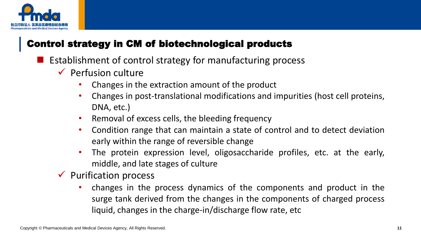

- Establishment of control strategy for manufacturing process
	- $\checkmark$  Perfusion culture
		- Changes in the extraction amount of the product
		- Changes in post-translational modifications and impurities (host cell proteins, DNA, etc.)
		- Removal of excess cells, the bleeding frequency
		- Condition range that can maintain a state of control and to detect deviation early within the range of reversible change
		- The protein expression level, oligosaccharide profiles, etc. at the early, middle, and late stages of culture
	- $\checkmark$  Purification process
		- changes in the process dynamics of the components and product in the surge tank derived from the changes in the components of charged process liquid, changes in the charge-in/discharge flow rate, etc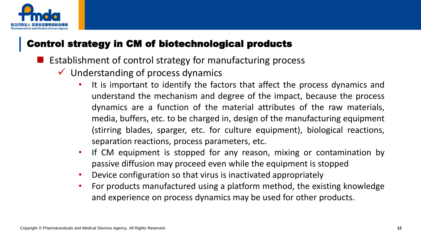

- Establishment of control strategy for manufacturing process
	- $\checkmark$  Understanding of process dynamics
		- It is important to identify the factors that affect the process dynamics and understand the mechanism and degree of the impact, because the process dynamics are a function of the material attributes of the raw materials, media, buffers, etc. to be charged in, design of the manufacturing equipment (stirring blades, sparger, etc. for culture equipment), biological reactions, separation reactions, process parameters, etc.
		- If CM equipment is stopped for any reason, mixing or contamination by passive diffusion may proceed even while the equipment is stopped
		- Device configuration so that virus is inactivated appropriately
		- For products manufactured using a platform method, the existing knowledge and experience on process dynamics may be used for other products.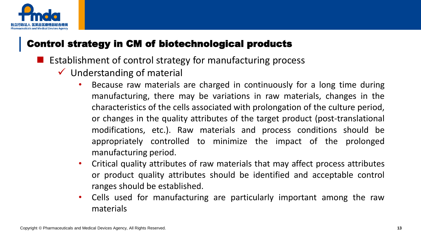

- Establishment of control strategy for manufacturing process
	- $\checkmark$  Understanding of material
		- Because raw materials are charged in continuously for a long time during manufacturing, there may be variations in raw materials, changes in the characteristics of the cells associated with prolongation of the culture period, or changes in the quality attributes of the target product (post-translational modifications, etc.). Raw materials and process conditions should be appropriately controlled to minimize the impact of the prolonged manufacturing period.
		- Critical quality attributes of raw materials that may affect process attributes or product quality attributes should be identified and acceptable control ranges should be established.
		- Cells used for manufacturing are particularly important among the raw materials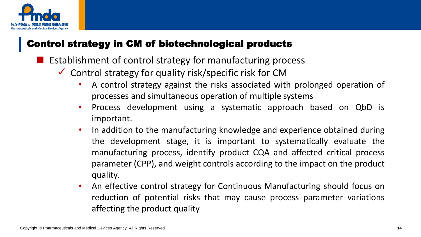![](_page_14_Picture_0.jpeg)

- Establishment of control strategy for manufacturing process
	- $\checkmark$  Control strategy for quality risk/specific risk for CM
		- A control strategy against the risks associated with prolonged operation of processes and simultaneous operation of multiple systems
		- Process development using a systematic approach based on QbD is important.
		- In addition to the manufacturing knowledge and experience obtained during the development stage, it is important to systematically evaluate the manufacturing process, identify product CQA and affected critical process parameter (CPP), and weight controls according to the impact on the product quality.
		- An effective control strategy for Continuous Manufacturing should focus on reduction of potential risks that may cause process parameter variations affecting the product quality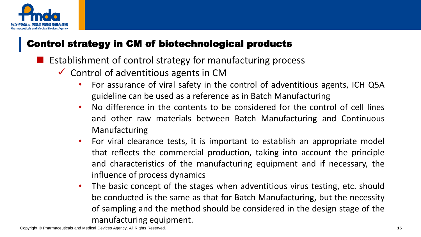![](_page_15_Picture_0.jpeg)

- Establishment of control strategy for manufacturing process
	- $\checkmark$  Control of adventitious agents in CM
		- For assurance of viral safety in the control of adventitious agents, ICH Q5A guideline can be used as a reference as in Batch Manufacturing
		- No difference in the contents to be considered for the control of cell lines and other raw materials between Batch Manufacturing and Continuous Manufacturing
		- For viral clearance tests, it is important to establish an appropriate model that reflects the commercial production, taking into account the principle and characteristics of the manufacturing equipment and if necessary, the influence of process dynamics
		- The basic concept of the stages when adventitious virus testing, etc. should be conducted is the same as that for Batch Manufacturing, but the necessity of sampling and the method should be considered in the design stage of the manufacturing equipment.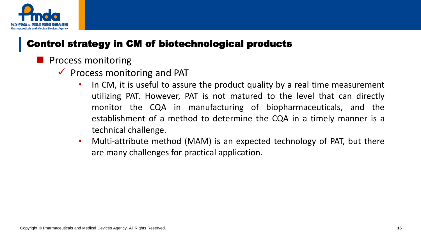![](_page_16_Picture_0.jpeg)

- ◼ Process monitoring
	- $\checkmark$  Process monitoring and PAT
		- In CM, it is useful to assure the product quality by a real time measurement utilizing PAT. However, PAT is not matured to the level that can directly monitor the CQA in manufacturing of biopharmaceuticals, and the establishment of a method to determine the CQA in a timely manner is a technical challenge.
		- Multi-attribute method (MAM) is an expected technology of PAT, but there are many challenges for practical application.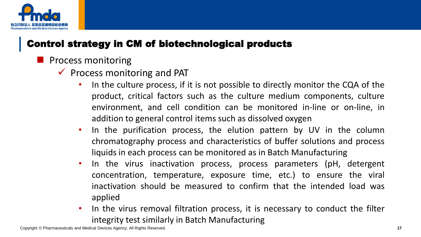![](_page_17_Picture_0.jpeg)

- ◼ Process monitoring
	- $\checkmark$  Process monitoring and PAT
		- In the culture process, if it is not possible to directly monitor the CQA of the product, critical factors such as the culture medium components, culture environment, and cell condition can be monitored in-line or on-line, in addition to general control items such as dissolved oxygen
		- In the purification process, the elution pattern by UV in the column chromatography process and characteristics of buffer solutions and process liquids in each process can be monitored as in Batch Manufacturing
		- In the virus inactivation process, process parameters (pH, detergent concentration, temperature, exposure time, etc.) to ensure the viral inactivation should be measured to confirm that the intended load was applied
		- In the virus removal filtration process, it is necessary to conduct the filter integrity test similarly in Batch Manufacturing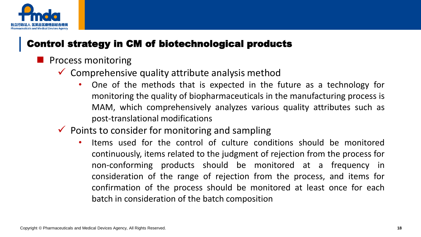![](_page_18_Picture_0.jpeg)

- ◼ Process monitoring
	- $\checkmark$  Comprehensive quality attribute analysis method
		- One of the methods that is expected in the future as a technology for monitoring the quality of biopharmaceuticals in the manufacturing process is MAM, which comprehensively analyzes various quality attributes such as post-translational modifications
	- $\checkmark$  Points to consider for monitoring and sampling
		- Items used for the control of culture conditions should be monitored continuously, items related to the judgment of rejection from the process for non-conforming products should be monitored at a frequency in consideration of the range of rejection from the process, and items for confirmation of the process should be monitored at least once for each batch in consideration of the batch composition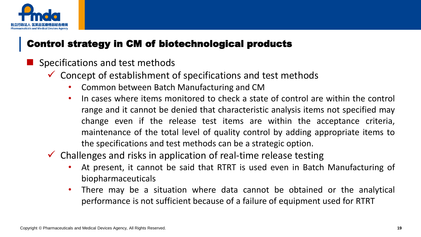![](_page_19_Picture_0.jpeg)

- ◼ Specifications and test methods
	- $\checkmark$  Concept of establishment of specifications and test methods
		- Common between Batch Manufacturing and CM
		- In cases where items monitored to check a state of control are within the control range and it cannot be denied that characteristic analysis items not specified may change even if the release test items are within the acceptance criteria, maintenance of the total level of quality control by adding appropriate items to the specifications and test methods can be a strategic option.
	- $\checkmark$  Challenges and risks in application of real-time release testing
		- At present, it cannot be said that RTRT is used even in Batch Manufacturing of biopharmaceuticals
		- There may be a situation where data cannot be obtained or the analytical performance is not sufficient because of a failure of equipment used for RTRT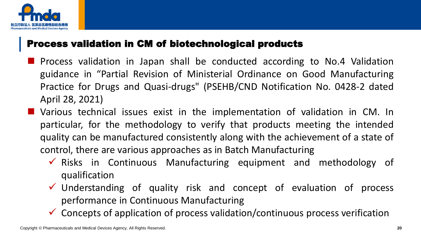![](_page_20_Picture_0.jpeg)

#### Process validation in CM of biotechnological products

- Process validation in Japan shall be conducted according to No.4 Validation guidance in "Partial Revision of Ministerial Ordinance on Good Manufacturing Practice for Drugs and Quasi-drugs" (PSEHB/CND Notification No. 0428-2 dated April 28, 2021)
- Various technical issues exist in the implementation of validation in CM. In particular, for the methodology to verify that products meeting the intended quality can be manufactured consistently along with the achievement of a state of control, there are various approaches as in Batch Manufacturing
	- $\checkmark$  Risks in Continuous Manufacturing equipment and methodology of qualification
	- ✓ Understanding of quality risk and concept of evaluation of process performance in Continuous Manufacturing
	- $\checkmark$  Concepts of application of process validation/continuous process verification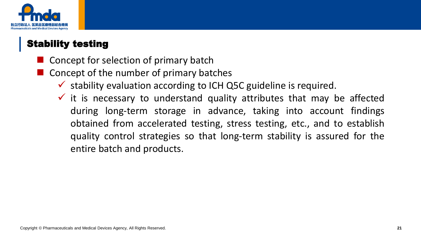![](_page_21_Picture_0.jpeg)

### Stability testing

- Concept for selection of primary batch
- ◼ Concept of the number of primary batches
	- $\checkmark$  stability evaluation according to ICH Q5C guideline is required.
	- $\checkmark$  it is necessary to understand quality attributes that may be affected during long-term storage in advance, taking into account findings obtained from accelerated testing, stress testing, etc., and to establish quality control strategies so that long-term stability is assured for the entire batch and products.